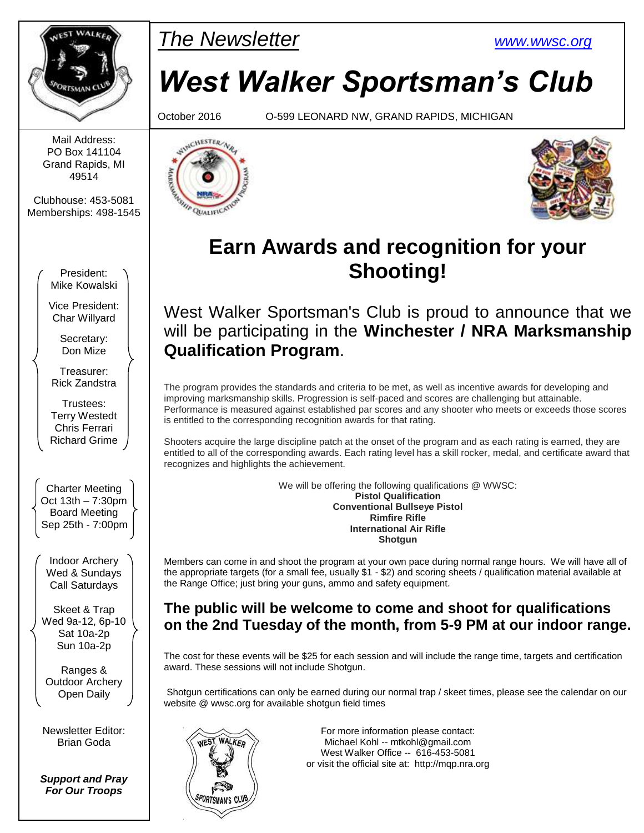

Mail Address: PO Box 141104 Grand Rapids, MI 49514

Clubhouse: 453-5081 Memberships: 498-1545

> President: Mike Kowalski

Vice President: Char Willyard

> Secretary: Don Mize

Treasurer: Rick Zandstra

Trustees: Terry Westedt Chris Ferrari Richard Grime

Charter Meeting Oct 13th – 7:30pm Board Meeting Sep 25th - 7:00pm

Indoor Archery Wed & Sundays Call Saturdays

Skeet & Trap Wed 9a-12, 6p-10 Sat 10a-2p Sun 10a-2p

Ranges & Outdoor Archery Open Daily

Newsletter Editor: Brian Goda

*Support and Pray For Our Troops*

# PMar *The Newsletter [www.wwsc.org](http://www.wwsc.org/)*

# *West Walker Sportsman's Club*

October 2016 O-599 LEONARD NW, GRAND RAPIDS, MICHIGAN





# **Earn Awards and recognition for your Shooting!**

West Walker Sportsman's Club is proud to announce that we will be participating in the **Winchester / NRA Marksmanship Qualification Program**.

The program provides the standards and criteria to be met, as well as incentive awards for developing and improving marksmanship skills. Progression is self-paced and scores are challenging but attainable. Performance is measured against established par scores and any shooter who meets or exceeds those scores is entitled to the corresponding recognition awards for that rating.

Shooters acquire the large discipline patch at the onset of the program and as each rating is earned, they are entitled to all of the corresponding awards. Each rating level has a skill rocker, medal, and certificate award that recognizes and highlights the achievement.

> We will be offering the following qualifications @ WWSC: **Pistol Qualification Conventional Bullseye Pistol Rimfire Rifle International Air Rifle Shotgun**

Members can come in and shoot the program at your own pace during normal range hours. We will have all of the appropriate targets (for a small fee, usually \$1 - \$2) and scoring sheets / qualification material available at the Range Office; just bring your guns, ammo and safety equipment.

### **The public will be welcome to come and shoot for qualifications on the 2nd Tuesday of the month, from 5-9 PM at our indoor range.**

The cost for these events will be \$25 for each session and will include the range time, targets and certification award. These sessions will not include Shotgun.

Shotgun certifications can only be earned during our normal trap / skeet times, please see the calendar on our website @ wwsc.org for available shotgun field times



For more information please contact: Michael Kohl -- mtkohl@gmail.com West Walker Office -- 616-453-5081 or visit the official site at: http://mqp.nra.org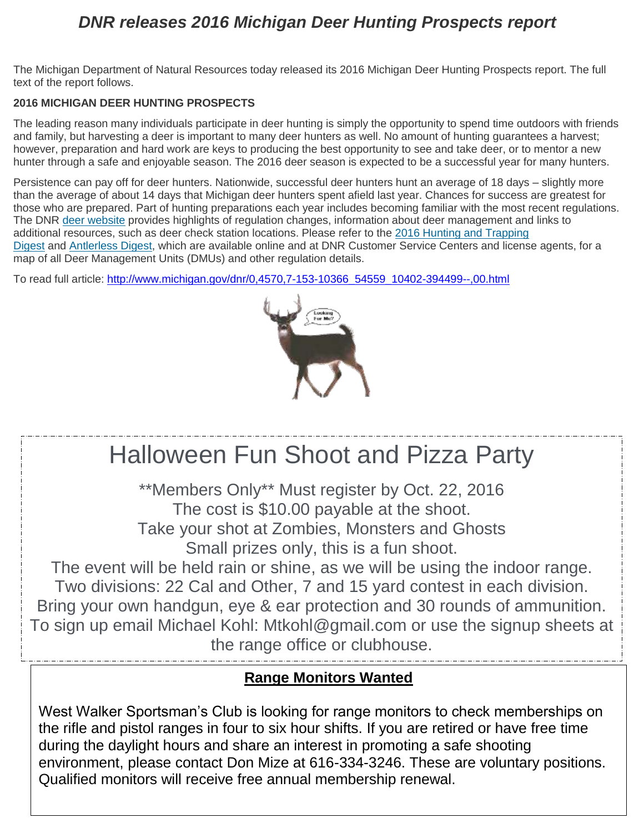# *DNR releases 2016 Michigan Deer Hunting Prospects report*

The Michigan Department of Natural Resources today released its 2016 Michigan Deer Hunting Prospects report. The full text of the report follows.

#### **2016 MICHIGAN DEER HUNTING PROSPECTS**

The leading reason many individuals participate in deer hunting is simply the opportunity to spend time outdoors with friends and family, but harvesting a deer is important to many deer hunters as well. No amount of hunting guarantees a harvest; however, preparation and hard work are keys to producing the best opportunity to see and take deer, or to mentor a new hunter through a safe and enjoyable season. The 2016 deer season is expected to be a successful year for many hunters.

Persistence can pay off for deer hunters. Nationwide, successful deer hunters hunt an average of 18 days – slightly more than the average of about 14 days that Michigan deer hunters spent afield last year. Chances for success are greatest for those who are prepared. Part of hunting preparations each year includes becoming familiar with the most recent regulations. The DNR [deer website](http://www.michigan.gov/dnr/0,4570,7-153-10363_10856---,00.html#deer) provides highlights of regulation changes, information about deer management and links to additional resources, such as deer check station locations. Please refer to the [2016 Hunting and Trapping](http://www.michigan.gov/documents/dnr/hunting_and_trapping_digest_461177_7.pdf)  [Digest](http://www.michigan.gov/documents/dnr/hunting_and_trapping_digest_461177_7.pdf) and [Antlerless Digest,](http://www.michigan.gov/documents/dnr/antlerless_deer_hunting_digest_530148_7.pdf) which are available online and at DNR Customer Service Centers and license agents, for a map of all Deer Management Units (DMUs) and other regulation details.

To read full article: [http://www.michigan.gov/dnr/0,4570,7-153-10366\\_54559\\_10402-394499--,00.html](http://www.michigan.gov/dnr/0,4570,7-153-10366_54559_10402-394499--,00.html)





Qualified monitors will receive free annual membership renewal.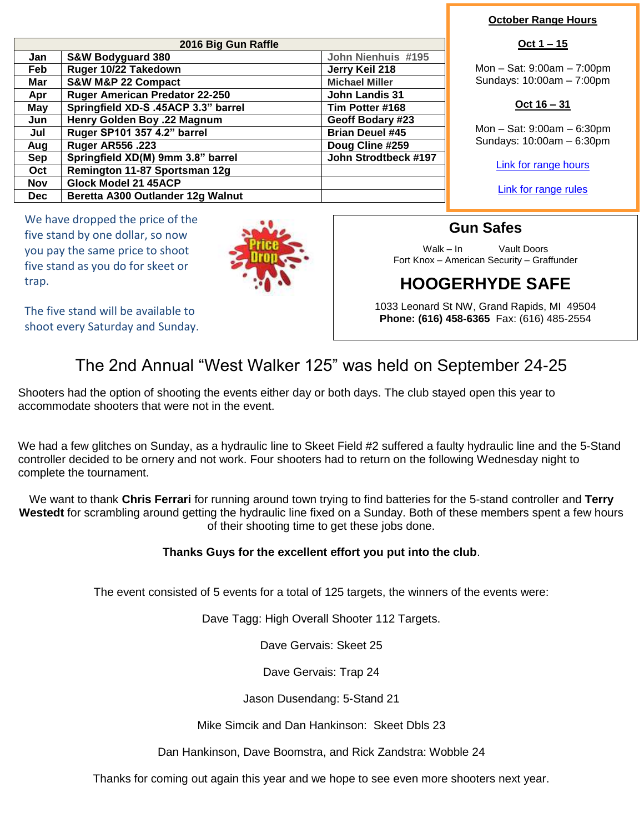| 2016 Big Gun Raffle |                                     |                        |  |  |  |
|---------------------|-------------------------------------|------------------------|--|--|--|
| Jan                 | <b>S&amp;W Bodyguard 380</b>        | John Nienhuis #195     |  |  |  |
| Feb                 | Ruger 10/22 Takedown                | Jerry Keil 218         |  |  |  |
| Mar                 | <b>S&amp;W M&amp;P 22 Compact</b>   | <b>Michael Miller</b>  |  |  |  |
| Apr                 | Ruger American Predator 22-250      | <b>John Landis 31</b>  |  |  |  |
| May                 | Springfield XD-S .45ACP 3.3" barrel | Tim Potter #168        |  |  |  |
| Jun                 | Henry Golden Boy .22 Magnum         | Geoff Bodary #23       |  |  |  |
| Jul                 | Ruger SP101 357 4.2" barrel         | <b>Brian Deuel #45</b> |  |  |  |
| Aug                 | <b>Ruger AR556 .223</b>             | Doug Cline #259        |  |  |  |
| <b>Sep</b>          | Springfield XD(M) 9mm 3.8" barrel   | John Strodtbeck #197   |  |  |  |
| Oct                 | Remington 11-87 Sportsman 12g       |                        |  |  |  |
| <b>Nov</b>          | Glock Model 21 45ACP                |                        |  |  |  |
| Dec.                | Beretta A300 Outlander 12g Walnut   |                        |  |  |  |

We have dropped the price of the five stand by one dollar, so now you pay the same price to shoot five stand as you do for skeet or trap.



The five stand will be available to shoot every Saturday and Sunday.

#### **October Range Hours**

#### **Oct 1 – 15**

Mon – Sat: 9:00am – 7:00pm Sundays: 10:00am – 7:00pm

#### **Oct 16 – 31**

Mon – Sat: 9:00am – 6:30pm Sundays: 10:00am – 6:30pm

[Link for range hours](http://www.wwsc.org/range-hours.shtml)

[Link for range rules](http://www.wwsc.org/img/ranges/RangeRules.pdf)

Walk – In Vault Doors Fort Knox – American Security – Graffunder

# **HOOGERHYDE SAFE**

1033 Leonard St NW, Grand Rapids, MI 49504 **Phone: (616) 458-6365** Fax: (616) 485-2554

### The 2nd Annual "West Walker 125" was held on September 24-25

Shooters had the option of shooting the events either day or both days. The club stayed open this year to accommodate shooters that were not in the event.

We had a few glitches on Sunday, as a hydraulic line to Skeet Field #2 suffered a faulty hydraulic line and the 5-Stand controller decided to be ornery and not work. Four shooters had to return on the following Wednesday night to complete the tournament.

We want to thank **Chris Ferrari** for running around town trying to find batteries for the 5-stand controller and **Terry Westedt** for scrambling around getting the hydraulic line fixed on a Sunday. Both of these members spent a few hours of their shooting time to get these jobs done.

#### **Thanks Guys for the excellent effort you put into the club**.

The event consisted of 5 events for a total of 125 targets, the winners of the events were:

Dave Tagg: High Overall Shooter 112 Targets.

Dave Gervais: Skeet 25

Dave Gervais: Trap 24

Jason Dusendang: 5-Stand 21

Mike Simcik and Dan Hankinson: Skeet Dbls 23

Dan Hankinson, Dave Boomstra, and Rick Zandstra: Wobble 24

Thanks for coming out again this year and we hope to see even more shooters next year.

# **Gun Safes**